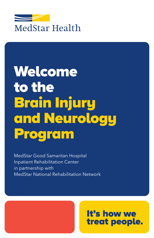

# Welcome to the Brain Injury and Neurology Program

MedStar Good Samaritan Hospital Inpatient Rehabilitation Center in partnership with MedStar National Rehabilitation Network

# It's how we treat people.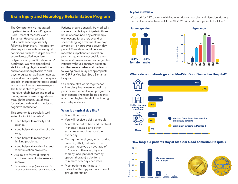# **Brain Injury and Neurology Rehabilitation Program**

The Comprehensive Integrated Inpatient Rehabilitation Program (CIIRP) team at MedStar Good Samaritan Hospital cares for individuals suffering disability following brain injury. The program also helps those with neurological conditions, such as multiple sclerosis acute flareup, Parkinsonism, polyneuropathy, and Guillain-Barre' syndrome. We have specialized staff, including physical medicine and rehabilitation physicians and psychologists, rehabilitation nurses, physical and occupational therapists, speech-language pathologists, social workers, and nurse case managers. The team is able to provide intensive rehabilitation and medical management, as well as guidance through the continuum of care, for patients with mild to moderate cognitive dysfunction.

This program is particularly wellsuited for individuals who\*:

- Need help with mobility and balance.
- Need help with activities of daily living.
- Need help with memory and thinking problems.
- Need help with swallowing and communication problems.
- Are able to follow directions and have the ability to learn and improve.
- *\* These criteria roughly correspond to Level VI of the Rancho Los Amigos Scale.*

Patients should generally be medically stable and able to participate in three hours of combined physical therapy with occupational therapy and or speech-language treatment five days a week or 15 hours over a seven-day period. They also should be able to meet their inpatient rehabilitation program goals in a reasonable time frame and have a viable discharge plan. Patients without significant agitation or other severe behavioral problems following brain injury are appropriate for CIIRP at MedStar Good Samaritan Hospital.

Our clinical staff works together as an interdisciplinary team to design a personalized rehabilitation program for each patient. The team helps patients attain their highest level of functioning and independence.

# **What is a typical day like?**

- You will be busy.
- You will receive a daily schedule.
- You will be out of bed and involved in therapy, meals, and other activities as much as possible every day.
- During the fiscal year, which ended June 30, 2021, patients in the program received an average of 3.7 hours of therapy (physical therapy, occupational therapy, speech therapy) a day for a minimum of 5 days per week.
- Most patients participate in individual therapy with occasional group interaction.

# **A year in review**

We cared for 127 patients with brain injuries or neurological disorders during the fiscal year, which ended June 30, 2021. What did our patients look like?



# **Where do our patients go after MedStar Good Samaritan Hospital?**



# **How long did patients stay at MedStar Good Samaritan Hospital?**